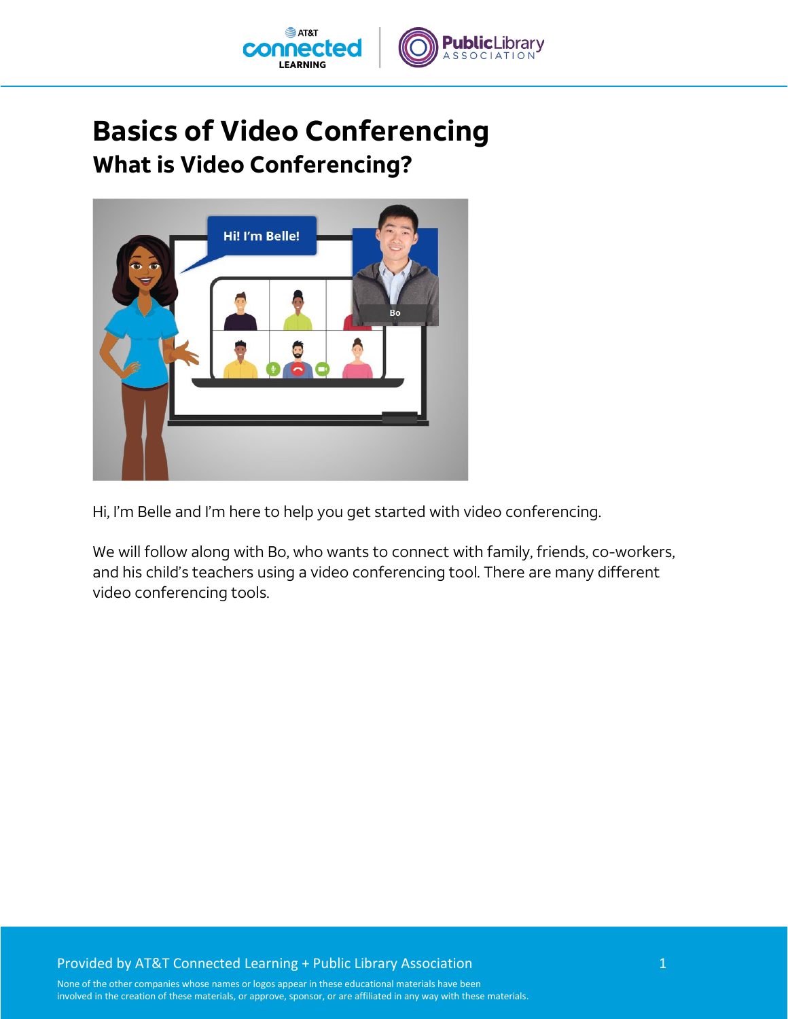

## **Basics of Video Conferencing What is Video Conferencing?**



Hi, I'm Belle and I'm here to help you get started with video conferencing.

We will follow along with Bo, who wants to connect with family, friends, co-workers, and his child's teachers using a video conferencing tool. There are many different video conferencing tools.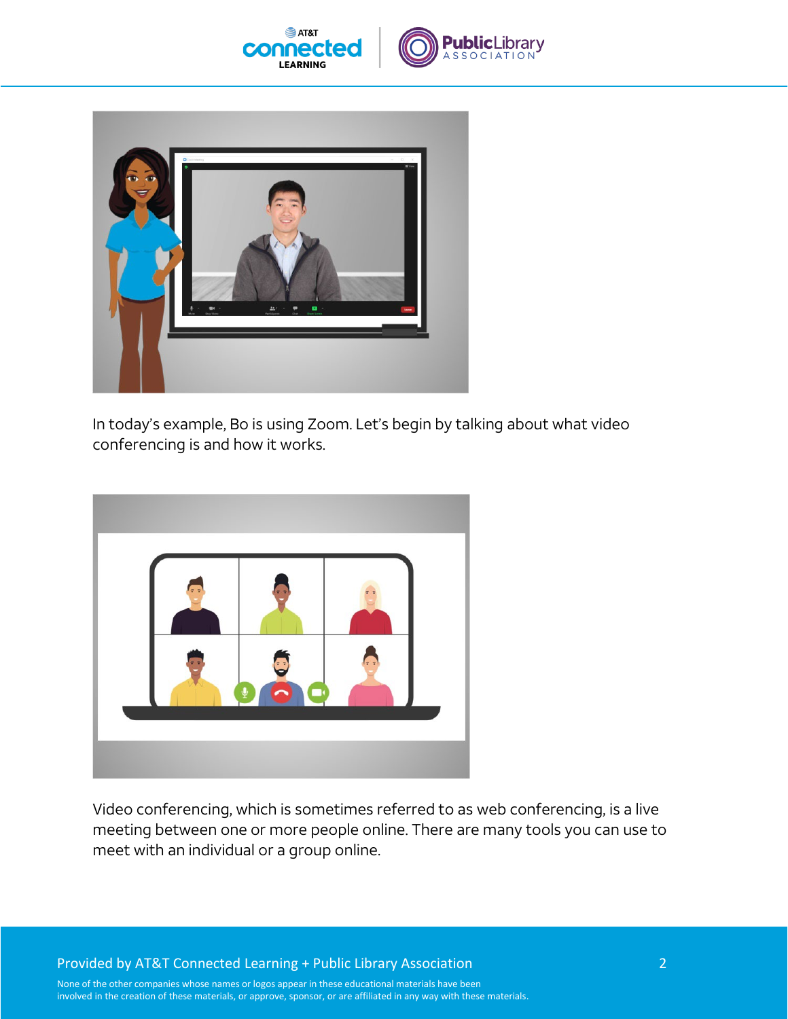



In today's example, Bo is using Zoom. Let's begin by talking about what video conferencing is and how it works.



Video conferencing, which is sometimes referred to as web conferencing, is a live meeting between one or more people online. There are many tools you can use to meet with an individual or a group online.

Provided by AT&T Connected Learning + Public Library Association 2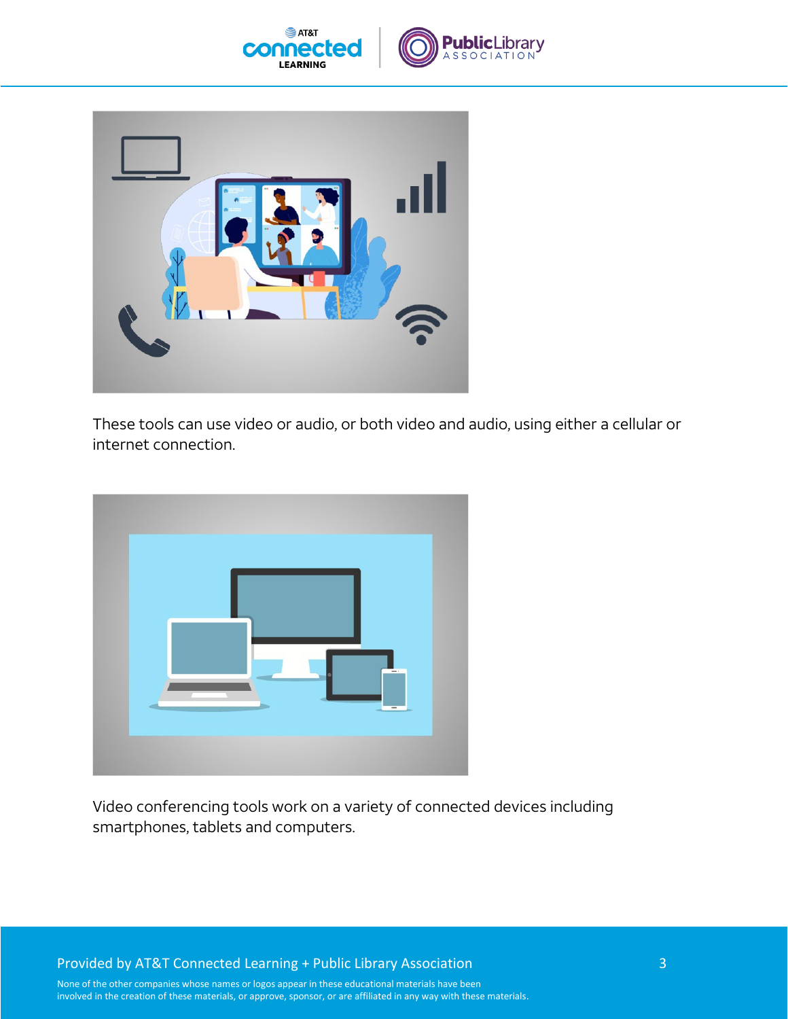





These tools can use video or audio, or both video and audio, using either a cellular or internet connection.



Video conferencing tools work on a variety of connected devices including smartphones, tablets and computers.

Provided by AT&T Connected Learning + Public Library Association 3